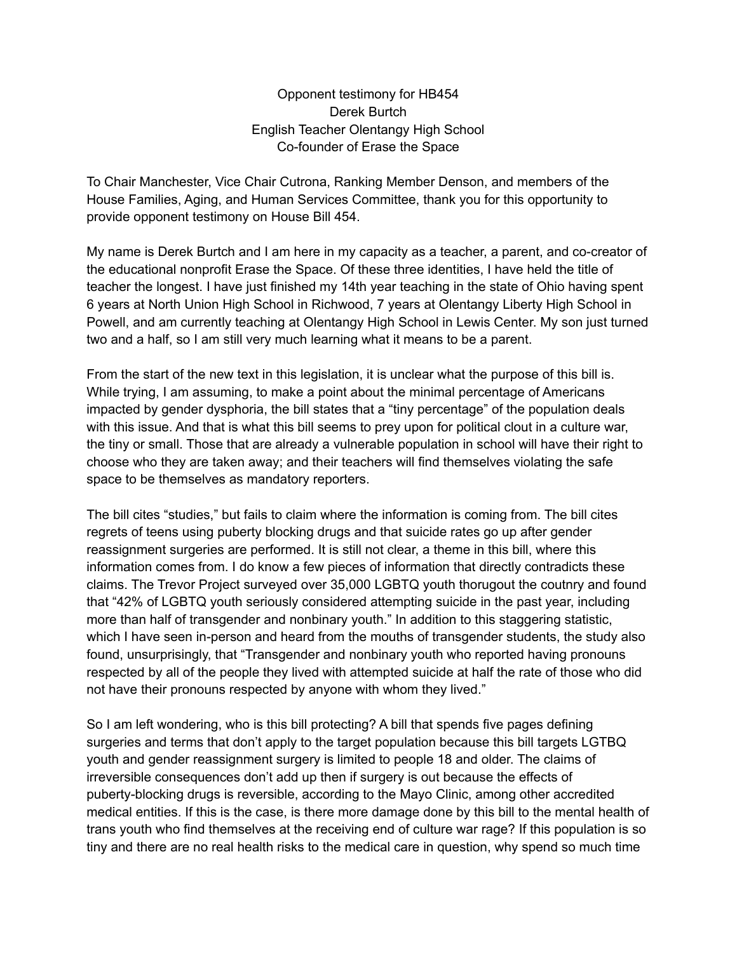Opponent testimony for HB454 Derek Burtch English Teacher Olentangy High School Co-founder of Erase the Space

To Chair Manchester, Vice Chair Cutrona, Ranking Member Denson, and members of the House Families, Aging, and Human Services Committee, thank you for this opportunity to provide opponent testimony on House Bill 454.

My name is Derek Burtch and I am here in my capacity as a teacher, a parent, and co-creator of the educational nonprofit Erase the Space. Of these three identities, I have held the title of teacher the longest. I have just finished my 14th year teaching in the state of Ohio having spent 6 years at North Union High School in Richwood, 7 years at Olentangy Liberty High School in Powell, and am currently teaching at Olentangy High School in Lewis Center. My son just turned two and a half, so I am still very much learning what it means to be a parent.

From the start of the new text in this legislation, it is unclear what the purpose of this bill is. While trying, I am assuming, to make a point about the minimal percentage of Americans impacted by gender dysphoria, the bill states that a "tiny percentage" of the population deals with this issue. And that is what this bill seems to prey upon for political clout in a culture war, the tiny or small. Those that are already a vulnerable population in school will have their right to choose who they are taken away; and their teachers will find themselves violating the safe space to be themselves as mandatory reporters.

The bill cites "studies," but fails to claim where the information is coming from. The bill cites regrets of teens using puberty blocking drugs and that suicide rates go up after gender reassignment surgeries are performed. It is still not clear, a theme in this bill, where this information comes from. I do know a few pieces of information that directly contradicts these claims. The Trevor Project surveyed over 35,000 LGBTQ youth thorugout the coutnry and found that "42% of LGBTQ youth seriously considered attempting suicide in the past year, including more than half of transgender and nonbinary youth." In addition to this staggering statistic, which I have seen in-person and heard from the mouths of transgender students, the study also found, unsurprisingly, that "Transgender and nonbinary youth who reported having pronouns respected by all of the people they lived with attempted suicide at half the rate of those who did not have their pronouns respected by anyone with whom they lived."

So I am left wondering, who is this bill protecting? A bill that spends five pages defining surgeries and terms that don't apply to the target population because this bill targets LGTBQ youth and gender reassignment surgery is limited to people 18 and older. The claims of irreversible consequences don't add up then if surgery is out because the effects of puberty-blocking drugs is reversible, according to the Mayo Clinic, among other accredited medical entities. If this is the case, is there more damage done by this bill to the mental health of trans youth who find themselves at the receiving end of culture war rage? If this population is so tiny and there are no real health risks to the medical care in question, why spend so much time